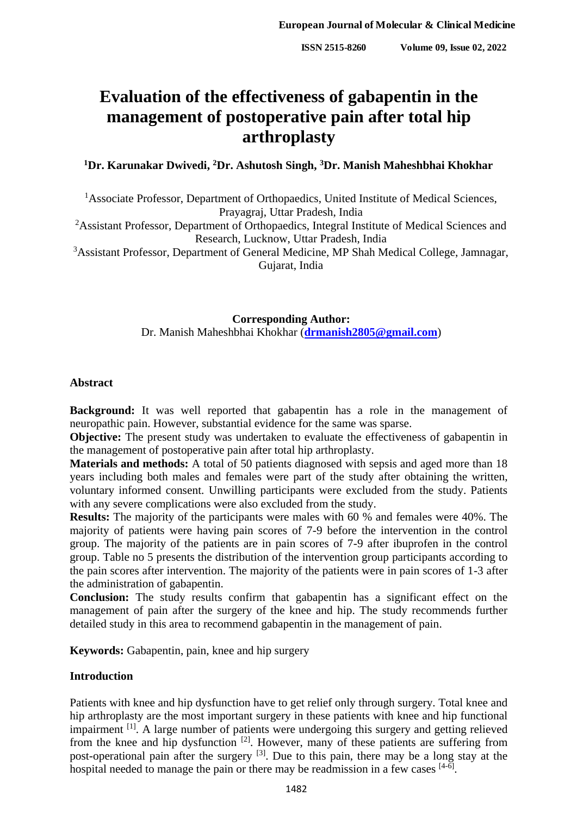# **Evaluation of the effectiveness of gabapentin in the management of postoperative pain after total hip arthroplasty**

**<sup>1</sup>Dr. Karunakar Dwivedi, <sup>2</sup>Dr. Ashutosh Singh, <sup>3</sup>Dr. Manish Maheshbhai Khokhar**

<sup>1</sup>Associate Professor, Department of Orthopaedics, United Institute of Medical Sciences, Prayagraj, Uttar Pradesh, India

<sup>2</sup>Assistant Professor, Department of Orthopaedics, Integral Institute of Medical Sciences and Research, Lucknow, Uttar Pradesh, India

<sup>3</sup>Assistant Professor, Department of General Medicine, MP Shah Medical College, Jamnagar, Gujarat, India

> **Corresponding Author:** Dr. Manish Maheshbhai Khokhar (**[drmanish2805@gmail.com](mailto:drmanish2805@gmail.com)**)

# **Abstract**

**Background:** It was well reported that gabapentin has a role in the management of neuropathic pain. However, substantial evidence for the same was sparse.

**Objective:** The present study was undertaken to evaluate the effectiveness of gabapentin in the management of postoperative pain after total hip arthroplasty.

**Materials and methods:** A total of 50 patients diagnosed with sepsis and aged more than 18 years including both males and females were part of the study after obtaining the written, voluntary informed consent. Unwilling participants were excluded from the study. Patients with any severe complications were also excluded from the study.

**Results:** The majority of the participants were males with 60 % and females were 40%. The majority of patients were having pain scores of 7-9 before the intervention in the control group. The majority of the patients are in pain scores of 7-9 after ibuprofen in the control group. Table no 5 presents the distribution of the intervention group participants according to the pain scores after intervention. The majority of the patients were in pain scores of 1-3 after the administration of gabapentin.

**Conclusion:** The study results confirm that gabapentin has a significant effect on the management of pain after the surgery of the knee and hip. The study recommends further detailed study in this area to recommend gabapentin in the management of pain.

**Keywords:** Gabapentin, pain, knee and hip surgery

# **Introduction**

Patients with knee and hip dysfunction have to get relief only through surgery. Total knee and hip arthroplasty are the most important surgery in these patients with knee and hip functional impairment <sup>[1]</sup>. A large number of patients were undergoing this surgery and getting relieved from the knee and hip dysfunction [2]. However, many of these patients are suffering from post-operational pain after the surgery [3]. Due to this pain, there may be a long stay at the hospital needed to manage the pain or there may be readmission in a few cases  $[4-6]$ .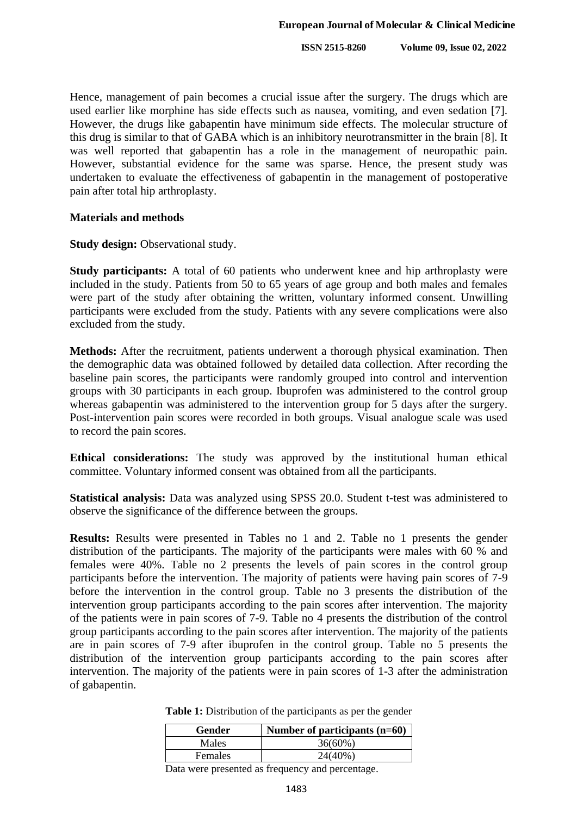**ISSN 2515-8260 Volume 09, Issue 02, 2022**

Hence, management of pain becomes a crucial issue after the surgery. The drugs which are used earlier like morphine has side effects such as nausea, vomiting, and even sedation [7]. However, the drugs like gabapentin have minimum side effects. The molecular structure of this drug is similar to that of GABA which is an inhibitory neurotransmitter in the brain [8]. It was well reported that gabapentin has a role in the management of neuropathic pain. However, substantial evidence for the same was sparse. Hence, the present study was undertaken to evaluate the effectiveness of gabapentin in the management of postoperative pain after total hip arthroplasty.

# **Materials and methods**

**Study design:** Observational study.

**Study participants:** A total of 60 patients who underwent knee and hip arthroplasty were included in the study. Patients from 50 to 65 years of age group and both males and females were part of the study after obtaining the written, voluntary informed consent. Unwilling participants were excluded from the study. Patients with any severe complications were also excluded from the study.

**Methods:** After the recruitment, patients underwent a thorough physical examination. Then the demographic data was obtained followed by detailed data collection. After recording the baseline pain scores, the participants were randomly grouped into control and intervention groups with 30 participants in each group. Ibuprofen was administered to the control group whereas gabapentin was administered to the intervention group for 5 days after the surgery. Post-intervention pain scores were recorded in both groups. Visual analogue scale was used to record the pain scores.

**Ethical considerations:** The study was approved by the institutional human ethical committee. Voluntary informed consent was obtained from all the participants.

**Statistical analysis:** Data was analyzed using SPSS 20.0. Student t-test was administered to observe the significance of the difference between the groups.

**Results:** Results were presented in Tables no 1 and 2. Table no 1 presents the gender distribution of the participants. The majority of the participants were males with 60 % and females were 40%. Table no 2 presents the levels of pain scores in the control group participants before the intervention. The majority of patients were having pain scores of 7-9 before the intervention in the control group. Table no 3 presents the distribution of the intervention group participants according to the pain scores after intervention. The majority of the patients were in pain scores of 7-9. Table no 4 presents the distribution of the control group participants according to the pain scores after intervention. The majority of the patients are in pain scores of 7-9 after ibuprofen in the control group. Table no 5 presents the distribution of the intervention group participants according to the pain scores after intervention. The majority of the patients were in pain scores of 1-3 after the administration of gabapentin.

| <b>Gender</b>  | Number of participants $(n=60)$ |
|----------------|---------------------------------|
| Males          | $36(60\%)$                      |
| <b>Females</b> | $24(40\%)$                      |

**Table 1:** Distribution of the participants as per the gender

Data were presented as frequency and percentage.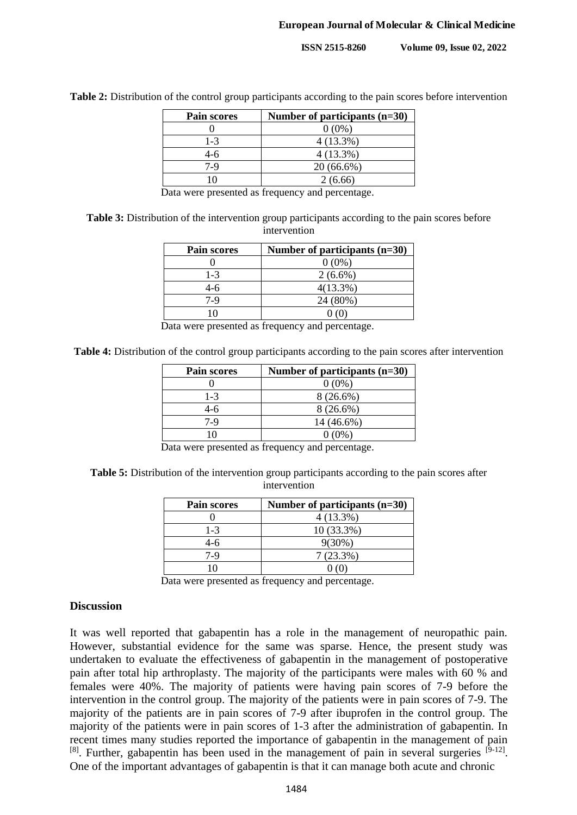| <b>Pain scores</b> | Number of participants (n=30) |
|--------------------|-------------------------------|
|                    | $0(0\%)$                      |
| $1 - 3$            | $4(13.3\%)$                   |
| 4-6                | $4(13.3\%)$                   |
| 7-9                | $20(66.6\%)$                  |
|                    | 2 (6.66)                      |

Table 2: Distribution of the control group participants according to the pain scores before intervention

Data were presented as frequency and percentage.

**Table 3:** Distribution of the intervention group participants according to the pain scores before intervention

| <b>Pain scores</b> | Number of participants (n=30) |
|--------------------|-------------------------------|
|                    | $0(0\%)$                      |
| $1 - 3$            | $2(6.6\%)$                    |
| $4-6$              | $4(13.3\%)$                   |
| 7-9                | 24 (80%)                      |
|                    |                               |

Data were presented as frequency and percentage.

**Table 4:** Distribution of the control group participants according to the pain scores after intervention

| Pain scores | Number of participants $(n=30)$ |
|-------------|---------------------------------|
|             | $0(0\%)$                        |
| $1 - 3$     | $8(26.6\%)$                     |
| 4-6         | $8(26.6\%)$                     |
| $7-9$       | 14 (46.6%)                      |
| ١O          | $0(0\%)$                        |

Data were presented as frequency and percentage.

Table 5: Distribution of the intervention group participants according to the pain scores after intervention

| <b>Pain scores</b> | Number of participants $(n=30)$ |
|--------------------|---------------------------------|
|                    | $4(13.3\%)$                     |
| $1 - 3$            | $10(33.3\%)$                    |
| 4-6                | $9(30\%)$                       |
| 7-9                | 7(23.3%)                        |
|                    |                                 |

Data were presented as frequency and percentage.

#### **Discussion**

It was well reported that gabapentin has a role in the management of neuropathic pain. However, substantial evidence for the same was sparse. Hence, the present study was undertaken to evaluate the effectiveness of gabapentin in the management of postoperative pain after total hip arthroplasty. The majority of the participants were males with 60 % and females were 40%. The majority of patients were having pain scores of 7-9 before the intervention in the control group. The majority of the patients were in pain scores of 7-9. The majority of the patients are in pain scores of 7-9 after ibuprofen in the control group. The majority of the patients were in pain scores of 1-3 after the administration of gabapentin. In recent times many studies reported the importance of gabapentin in the management of pain  $[8]$ . Further, gabapentin has been used in the management of pain in several surgeries  $[9-12]$ . One of the important advantages of gabapentin is that it can manage both acute and chronic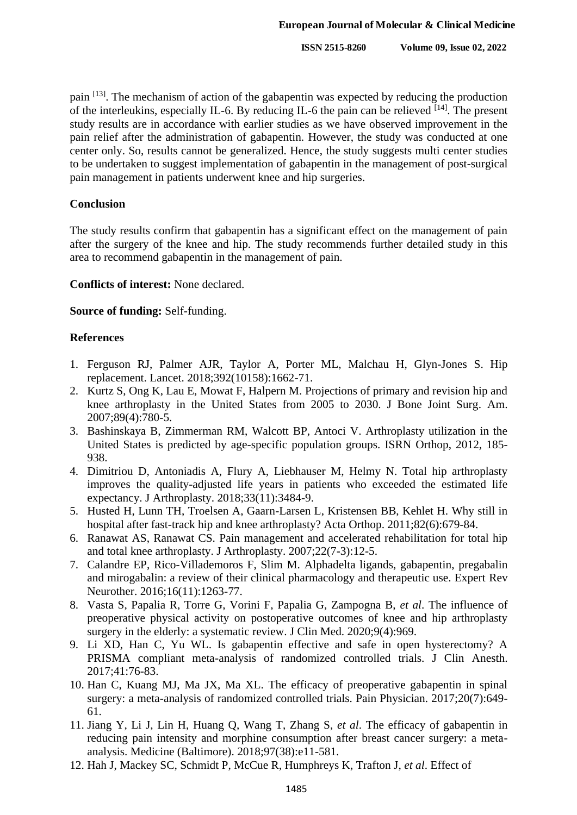pain <sup>[13]</sup>. The mechanism of action of the gabapentin was expected by reducing the production of the interleukins, especially IL-6. By reducing IL-6 the pain can be relieved  $[14]$ . The present study results are in accordance with earlier studies as we have observed improvement in the pain relief after the administration of gabapentin. However, the study was conducted at one center only. So, results cannot be generalized. Hence, the study suggests multi center studies to be undertaken to suggest implementation of gabapentin in the management of post-surgical pain management in patients underwent knee and hip surgeries.

#### **Conclusion**

The study results confirm that gabapentin has a significant effect on the management of pain after the surgery of the knee and hip. The study recommends further detailed study in this area to recommend gabapentin in the management of pain.

# **Conflicts of interest:** None declared.

# **Source of funding:** Self-funding.

# **References**

- 1. Ferguson RJ, Palmer AJR, Taylor A, Porter ML, Malchau H, Glyn-Jones S. Hip replacement. Lancet. 2018;392(10158):1662-71.
- 2. Kurtz S, Ong K, Lau E, Mowat F, Halpern M. Projections of primary and revision hip and knee arthroplasty in the United States from 2005 to 2030. J Bone Joint Surg. Am. 2007;89(4):780-5.
- 3. Bashinskaya B, Zimmerman RM, Walcott BP, Antoci V. Arthroplasty utilization in the United States is predicted by age-specific population groups. ISRN Orthop, 2012, 185- 938.
- 4. Dimitriou D, Antoniadis A, Flury A, Liebhauser M, Helmy N. Total hip arthroplasty improves the quality-adjusted life years in patients who exceeded the estimated life expectancy. J Arthroplasty. 2018;33(11):3484-9.
- 5. Husted H, Lunn TH, Troelsen A, Gaarn-Larsen L, Kristensen BB, Kehlet H. Why still in hospital after fast-track hip and knee arthroplasty? Acta Orthop. 2011;82(6):679-84.
- 6. Ranawat AS, Ranawat CS. Pain management and accelerated rehabilitation for total hip and total knee arthroplasty. J Arthroplasty. 2007;22(7-3):12-5.
- 7. Calandre EP, Rico-Villademoros F, Slim M. Alphadelta ligands, gabapentin, pregabalin and mirogabalin: a review of their clinical pharmacology and therapeutic use. Expert Rev Neurother. 2016;16(11):1263-77.
- 8. Vasta S, Papalia R, Torre G, Vorini F, Papalia G, Zampogna B, *et al*. The influence of preoperative physical activity on postoperative outcomes of knee and hip arthroplasty surgery in the elderly: a systematic review. J Clin Med. 2020;9(4):969.
- 9. Li XD, Han C, Yu WL. Is gabapentin effective and safe in open hysterectomy? A PRISMA compliant meta-analysis of randomized controlled trials. J Clin Anesth. 2017;41:76-83.
- 10. Han C, Kuang MJ, Ma JX, Ma XL. The efficacy of preoperative gabapentin in spinal surgery: a meta-analysis of randomized controlled trials. Pain Physician. 2017;20(7):649-61.
- 11. Jiang Y, Li J, Lin H, Huang Q, Wang T, Zhang S, *et al*. The efficacy of gabapentin in reducing pain intensity and morphine consumption after breast cancer surgery: a metaanalysis. Medicine (Baltimore). 2018;97(38):e11-581.
- 12. Hah J, Mackey SC, Schmidt P, McCue R, Humphreys K, Trafton J, *et al*. Effect of